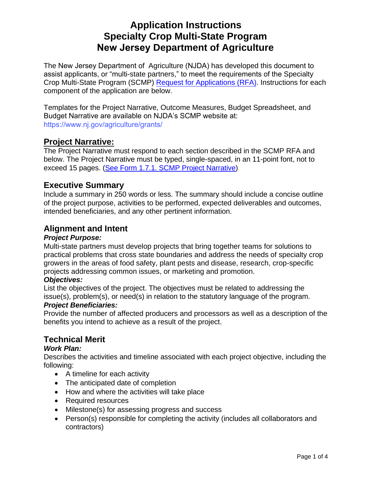# **Application Instructions Specialty Crop Multi-State Program New Jersey Department of Agriculture**

The New Jersey Department of Agriculture (NJDA) has developed this document to assist applicants, or "multi-state partners," to meet the requirements of the Specialty Crop Multi-State Program (SCMP) [Request for Applications \(RFA\).](https://www.ams.usda.gov/sites/default/files/media/2021_SCMP_RFA.pdf) Instructions for each component of the application are below.

Templates for the Project Narrative, Outcome Measures, Budget Spreadsheet, and Budget Narrative are available on NJDA's SCMP website at: [https://www.nj.gov/agriculture/grants/](https://www.cdfa.ca.gov/Specialty_Crop_Competitiveness_Grants/SCMP.html) 

# **Project Narrative:**

The Project Narrative must respond to each section described in the SCMP RFA and below. The Project Narrative must be typed, single-spaced, in an 11-point font, not to exceed 15 pages. [\(See Form 1.7.1. SCMP Project Narrative\)](https://www.cdfa.ca.gov/Specialty_Crop_Competitiveness_Grants/SCMP.html)

# **Executive Summary**

Include a summary in 250 words or less. The summary should include a concise outline of the project purpose, activities to be performed, expected deliverables and outcomes, intended beneficiaries, and any other pertinent information.

# **Alignment and Intent**

#### *Project Purpose:*

Multi-state partners must develop projects that bring together teams for solutions to practical problems that cross state boundaries and address the needs of specialty crop growers in the areas of food safety, plant pests and disease, research, crop-specific projects addressing common issues, or marketing and promotion.

#### *Objectives:*

List the objectives of the project. The objectives must be related to addressing the issue(s), problem(s), or need(s) in relation to the statutory language of the program.

#### *Project Beneficiaries:*

Provide the number of affected producers and processors as well as a description of the benefits you intend to achieve as a result of the project.

# **Technical Merit**

### *Work Plan:*

Describes the activities and timeline associated with each project objective, including the following:

- A timeline for each activity
- The anticipated date of completion
- How and where the activities will take place
- Required resources
- Milestone(s) for assessing progress and success
- Person(s) responsible for completing the activity (includes all collaborators and contractors)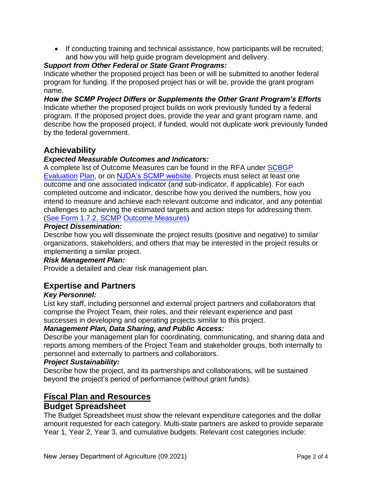• If conducting training and technical assistance, how participants will be recruited; and how you will help guide program development and delivery.

### *Support from Other Federal or State Grant Programs:*

Indicate whether the proposed project has been or will be submitted to another federal program for funding. If the proposed project has or will be, provide the grant program name.

*How the SCMP Project Differs or Supplements the Other Grant Program's Efforts*  Indicate whether the proposed project builds on work previously funded by a federal program. If the proposed project does, provide the year and grant program name, and describe how the proposed project, if funded, would not duplicate work previously funded by the federal government.

# **Achievability**

### *Expected Measurable Outcomes and Indicators:*

A complete list of Outcome Measures can be found in the RFA unde[r SCBGP](https://www.ams.usda.gov/sites/default/files/media/2019_SCMP_Final.pdf)  [Evalu](https://www.ams.usda.gov/sites/default/files/media/2019_SCMP_Final.pdf)ation Plan, or on NJDA['s SCMP website.](https://www.cdfa.ca.gov/Specialty_Crop_Competitiveness_Grants/SCMP.html) Projects must select at least one outcome and one associated indicator (and sub-indicator, if applicable). For each completed outcome and indicator, describe how you derived the numbers, how you intend to measure and achieve each relevant outcome and indicator, and any potential challenges to achieving the estimated targets and action ste[ps for addressing them.](https://www.cdfa.ca.gov/Specialty_Crop_Competitiveness_Grants/SCMP.html)  [\(See Form 1.7.2. SC](https://www.cdfa.ca.gov/Specialty_Crop_Competitiveness_Grants/SCMP.html)MP Outcome Measures)

#### *Project Dissemination:*

Describe how you will disseminate the project results (positive and negative) to similar organizations, stakeholders, and others that may be interested in the project results or implementing a similar project.

#### *Risk Management Plan:*

Provide a detailed and clear risk management plan.

### **Expertise and Partners**

#### *Key Personnel:*

List key staff, including personnel and external project partners and collaborators that comprise the Project Team, their roles, and their relevant experience and past successes in developing and operating projects similar to this project.

#### *Management Plan, Data Sharing, and Public Access:*

Describe your management plan for coordinating, communicating, and sharing data and reports among members of the Project Team and stakeholder groups, both internally to personnel and externally to partners and collaborators.

#### *Project Sustainability:*

Describe how the project, and its partnerships and collaborations, will be sustained beyond the project's period of performance (without grant funds).

### **Fiscal Plan and Resources**

### **Budget Spreadsheet**

The Budget Spreadsheet must show the relevant expenditure categories and the dollar amount requested for each category. Multi-state partners are asked to provide separate Year 1, Year 2, Year 3, and cumulative budgets. Relevant cost categories include: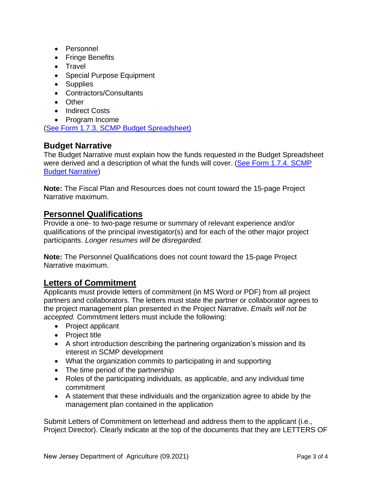- Personnel
- Fringe Benefits
- Travel
- Special Purpose Equipment
- Supplies
- Contractors/Consultants
- Other
- Indirect Costs
- Program Income

[\(See Form 1.7.3. SCMP Budget Spreadsheet\)](https://www.cdfa.ca.gov/Specialty_Crop_Competitiveness_Grants/SCMP.html)

# **Budget Narrative**

The Budget Narrative must explain how the funds requested in the Budget Spreadsheet were derived and a description of what the funds will cover. (See Form 1.7.4. SCMP [Budget Narrative\)](https://www.cdfa.ca.gov/Specialty_Crop_Competitiveness_Grants/SCMP.html)

**Note:** The Fiscal Plan and Resources does not count toward the 15-page Project Narrative maximum.

### **Personnel Qualifications**

Provide a one- to two-page resume or summary of relevant experience and/or qualifications of the principal investigator(s) and for each of the other major project participants. *Longer resumes will be disregarded.*

**Note:** The Personnel Qualifications does not count toward the 15-page Project Narrative maximum.

### **Letters of Commitment**

Applicants must provide letters of commitment (in MS Word or PDF) from all project partners and collaborators. The letters must state the partner or collaborator agrees to the project management plan presented in the Project Narrative. *Emails will not be accepted.* Commitment letters must include the following:

- Project applicant
- Project title
- A short introduction describing the partnering organization's mission and its interest in SCMP development
- What the organization commits to participating in and supporting
- The time period of the partnership
- Roles of the participating individuals, as applicable, and any individual time commitment
- A statement that these individuals and the organization agree to abide by the management plan contained in the application

Submit Letters of Commitment on letterhead and address them to the applicant (i.e., Project Director). Clearly indicate at the top of the documents that they are LETTERS OF